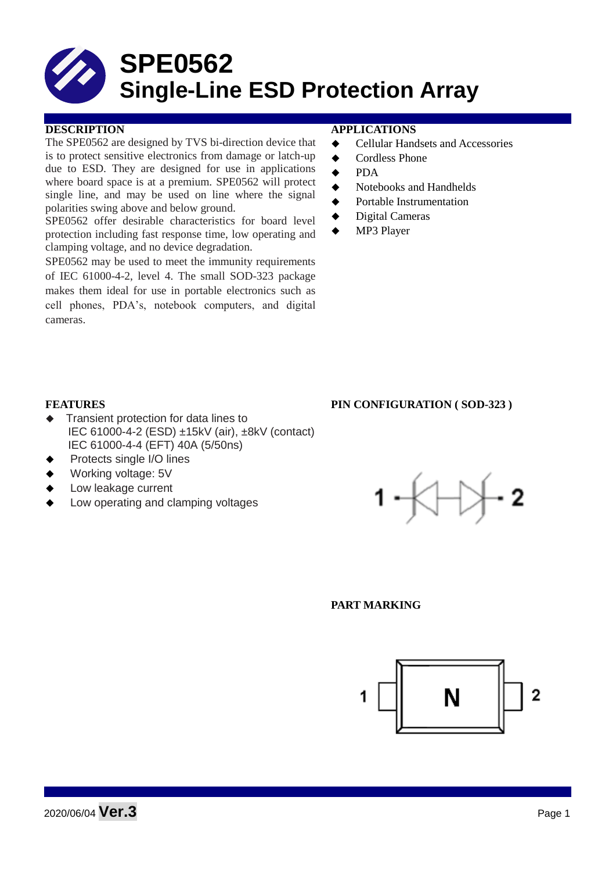# **SPE0562 Single-Line ESD Protection Array**

### **DESCRIPTION APPLICATIONS**

The SPE0562 are designed by TVS bi-direction device that is to protect sensitive electronics from damage or latch-up due to ESD. They are designed for use in applications where board space is at a premium. SPE0562 will protect single line, and may be used on line where the signal polarities swing above and below ground.

SPE0562 offer desirable characteristics for board level protection including fast response time, low operating and clamping voltage, and no device degradation.

SPE0562 may be used to meet the immunity requirements of IEC 61000-4-2, level 4. The small SOD-323 package makes them ideal for use in portable electronics such as cell phones, PDA's, notebook computers, and digital cameras.

- **←** Cellular Handsets and Accessories
- ◆ Cordless Phone
- $\bullet$  PDA
- Notebooks and Handhelds
- Portable Instrumentation
- ◆ Digital Cameras
- MP3 Player

#### **FEATURES PIN CONFIGURATION ( SOD-323 )**

- Transient protection for data lines to IEC 61000-4-2 (ESD) ±15kV (air), ±8kV (contact) IEC 61000-4-4 (EFT) 40A (5/50ns)
- Protects single I/O lines
- Working voltage: 5V
- Low leakage current
- Low operating and clamping voltages



#### **PART MARKING**

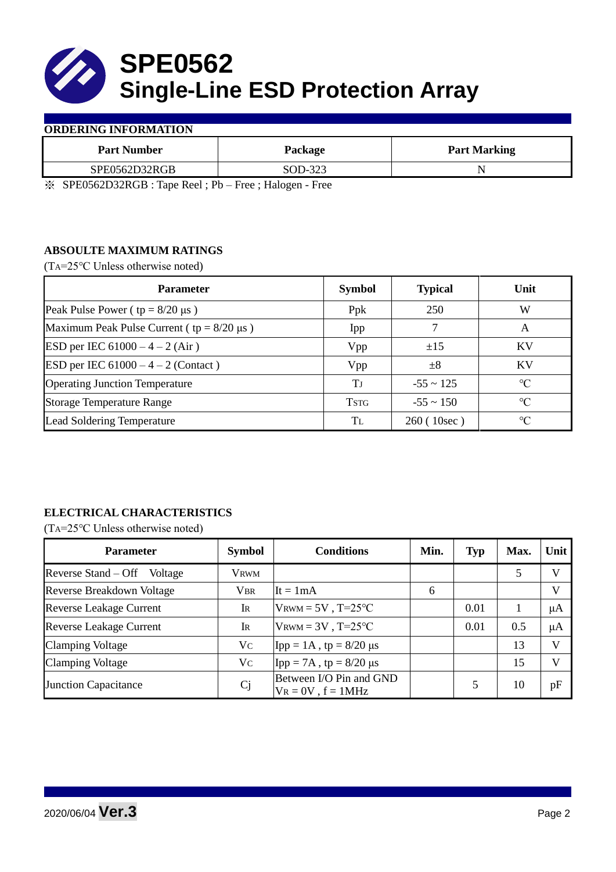

#### **ORDERING INFORMATION**

| <b>Part Number</b> | Package           | <b>Part Marking</b> |
|--------------------|-------------------|---------------------|
| SPE0562D32RGB      | SOD-323           |                     |
|                    | $\sim$<br>$- - -$ |                     |

※ SPE0562D32RGB : Tape Reel ; Pb – Free ; Halogen - Free

## **ABSOULTE MAXIMUM RATINGS**

(TA=25℃ Unless otherwise noted)

| <b>Parameter</b>                                 | <b>Symbol</b> | <b>Typical</b> | Unit            |  |
|--------------------------------------------------|---------------|----------------|-----------------|--|
| Peak Pulse Power ( $tp = 8/20 \mu s$ )           | Ppk           | 250            | W               |  |
| Maximum Peak Pulse Current ( $tp = 8/20 \mu s$ ) | Ipp           |                | A               |  |
| ESD per IEC $61000 - 4 - 2$ (Air)                | Vpp           | ±15            | <b>KV</b>       |  |
| <b>ESD</b> per IEC $61000 - 4 - 2$ (Contact)     | Vpp           | $\pm 8$        | KV              |  |
| <b>Operating Junction Temperature</b>            | Tј            | $-55 \sim 125$ | $\rm ^{\circ}C$ |  |
| <b>Storage Temperature Range</b>                 | <b>TSTG</b>   | $-55 \sim 150$ | $\rm ^{\circ}C$ |  |
| Lead Soldering Temperature                       | Tī.           | 260 (10sec)    | $\rm ^{\circ}C$ |  |

# **ELECTRICAL CHARACTERISTICS**

(TA=25℃ Unless otherwise noted)

| <b>Parameter</b>                 | <b>Symbol</b>  | <b>Conditions</b>                                  | Min. | <b>Typ</b> | Max. | Unit         |
|----------------------------------|----------------|----------------------------------------------------|------|------------|------|--------------|
| Reverse Stand – Off<br>Voltage   | <b>VRWM</b>    |                                                    |      |            | 5    | V            |
| <b>Reverse Breakdown Voltage</b> | <b>VBR</b>     | It = $1mA$                                         | 6    |            |      | $\mathbf{V}$ |
| <b>Reverse Leakage Current</b>   | IR             | $V_{\text{RWM}} = 5V$ , T=25°C                     |      | 0.01       |      | μA           |
| <b>Reverse Leakage Current</b>   | IR             | $V_{\text{RWM}} = 3V$ , T=25°C                     |      | 0.01       | 0.5  | μA           |
| <b>Clamping Voltage</b>          | Vc             | Ipp = $1A$ , tp = $8/20 \mu s$                     |      |            | 13   | $\mathbf{V}$ |
| <b>Clamping Voltage</b>          | Vc             | Ipp = 7A, tp = $8/20 \mu s$                        |      |            | 15   | $\mathbf{V}$ |
| <b>Junction Capacitance</b>      | C <sub>j</sub> | Between I/O Pin and GND<br>$V_R = 0V$ , $f = 1MHz$ |      |            | 10   | pF           |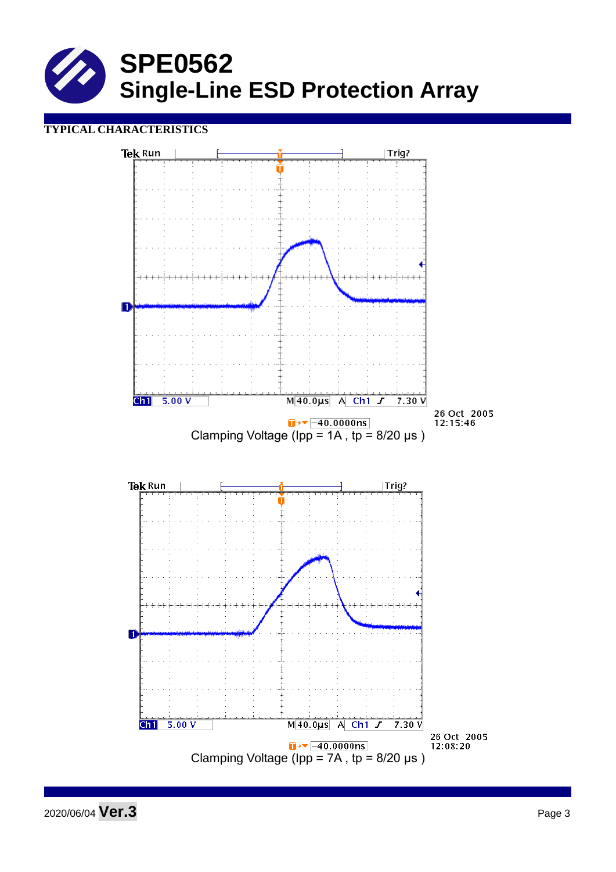

## **TYPICAL CHARACTERISTICS**



2020/06/04 **Ver.3** Page <sup>3</sup>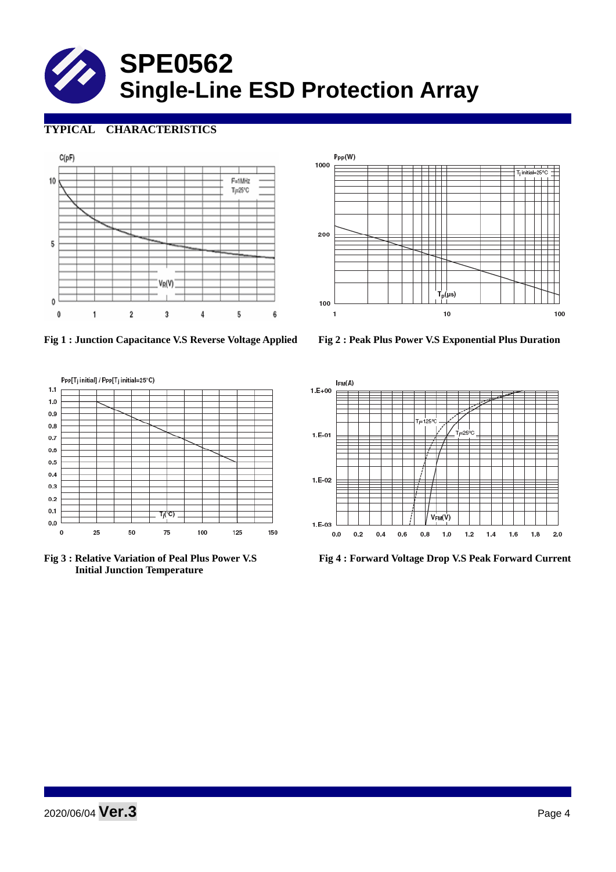# **SPE0562 Single-Line ESD Protection Array**

# **TYPICAL CHARACTERISTICS**





**Fig 1 : Junction Capacitance V.S Reverse Voltage Applied Fig 2 : Peak Plus Power V.S Exponential Plus Duration**





 **Initial Junction Temperature** 



**Fig 3 : Relative Variation of Peal Plus Power V.S Fig 4 : Forward Voltage Drop V.S Peak Forward Current**